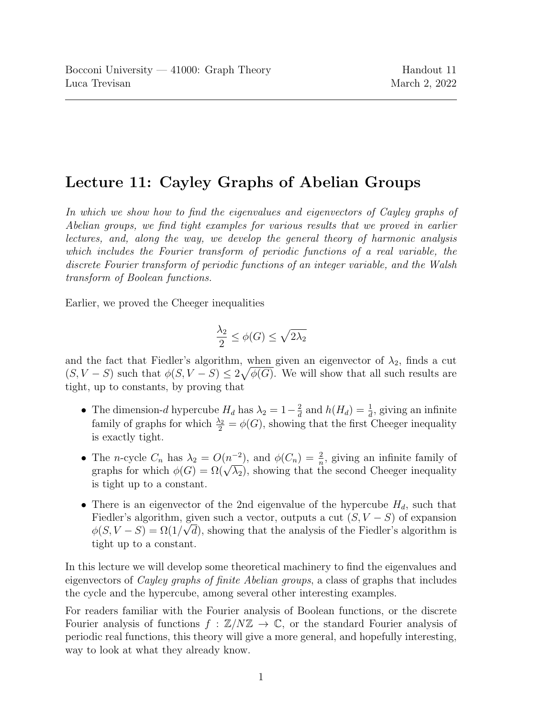# Lecture 11: Cayley Graphs of Abelian Groups

In which we show how to find the eigenvalues and eigenvectors of Cayley graphs of Abelian groups, we find tight examples for various results that we proved in earlier lectures, and, along the way, we develop the general theory of harmonic analysis which includes the Fourier transform of periodic functions of a real variable, the discrete Fourier transform of periodic functions of an integer variable, and the Walsh transform of Boolean functions.

Earlier, we proved the Cheeger inequalities

$$
\frac{\lambda_2}{2}\leq \phi(G)\leq \sqrt{2\lambda_2}
$$

and the fact that Fiedler's algorithm, when given an eigenvector of  $\lambda_2$ , finds a cut  $(S, V - S)$  such that  $\phi(S, V - S) \leq 2\sqrt{\phi(G)}$ . We will show that all such results are tight, up to constants, by proving that

- The dimension-d hypercube  $H_d$  has  $\lambda_2 = 1 \frac{2}{d}$  $\frac{2}{d}$  and  $h(H_d) = \frac{1}{d}$ , giving an infinite family of graphs for which  $\frac{\lambda_2}{2} = \phi(G)$ , showing that the first Cheeger inequality is exactly tight.
- The *n*-cycle  $C_n$  has  $\lambda_2 = O(n^{-2})$ , and  $\phi(C_n) = \frac{2}{n}$ , giving an infinite family of The *n*-cycle  $C_n$  has  $\lambda_2 = O(n^{-2})$ , and  $\varphi(C_n) = \frac{1}{n}$ , giving an immulte raminy of graphs for which  $\varphi(G) = \Omega(\sqrt{\lambda_2})$ , showing that the second Cheeger inequality is tight up to a constant.
- There is an eigenvector of the 2nd eigenvalue of the hypercube  $H_d$ , such that Fiedler's algorithm, given such a vector, outputs a cut  $(S, V - S)$  of expansion  $\phi(S, V - S) = \Omega(1/\sqrt{d})$ , showing that the analysis of the Fiedler's algorithm is tight up to a constant.

In this lecture we will develop some theoretical machinery to find the eigenvalues and eigenvectors of Cayley graphs of finite Abelian groups, a class of graphs that includes the cycle and the hypercube, among several other interesting examples.

For readers familiar with the Fourier analysis of Boolean functions, or the discrete Fourier analysis of functions  $f : \mathbb{Z}/N\mathbb{Z} \to \mathbb{C}$ , or the standard Fourier analysis of periodic real functions, this theory will give a more general, and hopefully interesting, way to look at what they already know.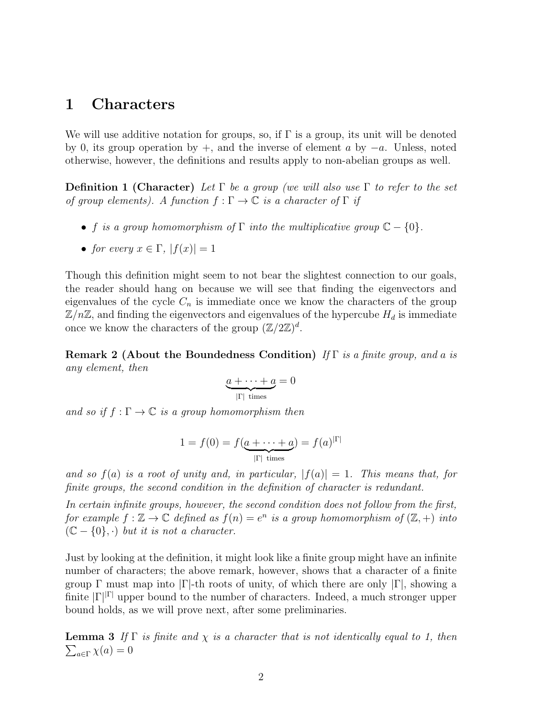## 1 Characters

We will use additive notation for groups, so, if  $\Gamma$  is a group, its unit will be denoted by 0, its group operation by +, and the inverse of element a by  $-a$ . Unless, noted otherwise, however, the definitions and results apply to non-abelian groups as well.

**Definition 1 (Character)** Let  $\Gamma$  be a group (we will also use  $\Gamma$  to refer to the set of group elements). A function  $f : \Gamma \to \mathbb{C}$  is a character of  $\Gamma$  if

- f is a group homomorphism of  $\Gamma$  into the multiplicative group  $\mathbb{C} \{0\}$ .
- for every  $x \in \Gamma$ ,  $|f(x)| = 1$

Though this definition might seem to not bear the slightest connection to our goals, the reader should hang on because we will see that finding the eigenvectors and eigenvalues of the cycle  $C_n$  is immediate once we know the characters of the group  $\mathbb{Z}/n\mathbb{Z}$ , and finding the eigenvectors and eigenvalues of the hypercube  $H_d$  is immediate once we know the characters of the group  $(\mathbb{Z}/2\mathbb{Z})^d$ .

**Remark 2 (About the Boundedness Condition)** If  $\Gamma$  is a finite group, and a is any element, then

$$
\underbrace{a + \cdots + a}_{|\Gamma| \text{ times}} = 0
$$

and so if  $f : \Gamma \to \mathbb{C}$  is a group homomorphism then

$$
1 = f(0) = f(\underbrace{a + \dots + a}_{|\Gamma| \text{ times}}) = f(a)^{|\Gamma|}
$$

and so  $f(a)$  is a root of unity and, in particular,  $|f(a)| = 1$ . This means that, for finite groups, the second condition in the definition of character is redundant.

In certain infinite groups, however, the second condition does not follow from the first, for example  $f : \mathbb{Z} \to \mathbb{C}$  defined as  $f(n) = e^n$  is a group homomorphism of  $(\mathbb{Z}, +)$  into  $(\mathbb{C} - \{0\}, \cdot)$  but it is not a character.

Just by looking at the definition, it might look like a finite group might have an infinite number of characters; the above remark, however, shows that a character of a finite group Γ must map into |Γ|-th roots of unity, of which there are only |Γ|, showing a finite  $|\Gamma|^{| \Gamma |}$  upper bound to the number of characters. Indeed, a much stronger upper bound holds, as we will prove next, after some preliminaries.

<span id="page-1-0"></span> $\sum_{a \in \Gamma} \chi(a) = 0$ **Lemma 3** If  $\Gamma$  is finite and  $\chi$  is a character that is not identically equal to 1, then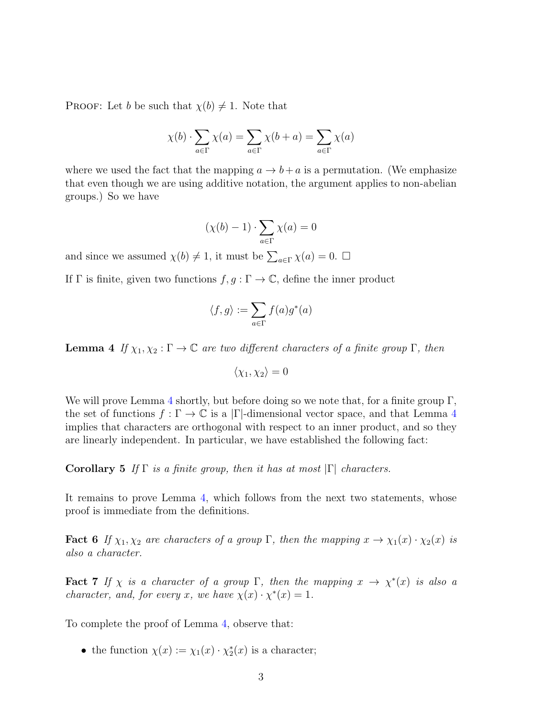**PROOF:** Let b be such that  $\chi(b) \neq 1$ . Note that

$$
\chi(b) \cdot \sum_{a \in \Gamma} \chi(a) = \sum_{a \in \Gamma} \chi(b+a) = \sum_{a \in \Gamma} \chi(a)
$$

where we used the fact that the mapping  $a \to b + a$  is a permutation. (We emphasize that even though we are using additive notation, the argument applies to non-abelian groups.) So we have

$$
(\chi(b) - 1) \cdot \sum_{a \in \Gamma} \chi(a) = 0
$$

and since we assumed  $\chi(b) \neq 1$ , it must be  $\sum_{a \in \Gamma} \chi(a) = 0$ .  $\Box$ 

If  $\Gamma$  is finite, given two functions  $f, g: \Gamma \to \mathbb{C}$ , define the inner product

$$
\langle f,g\rangle:=\sum_{a\in\Gamma}f(a)g^*(a)
$$

<span id="page-2-0"></span>**Lemma 4** If  $\chi_1, \chi_2 : \Gamma \to \mathbb{C}$  are two different characters of a finite group  $\Gamma$ , then

$$
\langle \chi_1, \chi_2 \rangle = 0
$$

We will prove Lemma [4](#page-2-0) shortly, but before doing so we note that, for a finite group  $\Gamma$ , the set of functions  $f : \Gamma \to \mathbb{C}$  is a |Γ|-dimensional vector space, and that Lemma [4](#page-2-0) implies that characters are orthogonal with respect to an inner product, and so they are linearly independent. In particular, we have established the following fact:

Corollary 5 If  $\Gamma$  is a finite group, then it has at most  $|\Gamma|$  characters.

It remains to prove Lemma [4,](#page-2-0) which follows from the next two statements, whose proof is immediate from the definitions.

**Fact 6** If  $\chi_1, \chi_2$  are characters of a group Γ, then the mapping  $x \to \chi_1(x) \cdot \chi_2(x)$  is also a character.

**Fact 7** If  $\chi$  is a character of a group  $\Gamma$ , then the mapping  $x \to \chi^*(x)$  is also a *character, and, for every x, we have*  $\chi(x) \cdot \chi^*(x) = 1$ .

To complete the proof of Lemma [4,](#page-2-0) observe that:

• the function  $\chi(x) := \chi_1(x) \cdot \chi_2^*(x)$  is a character;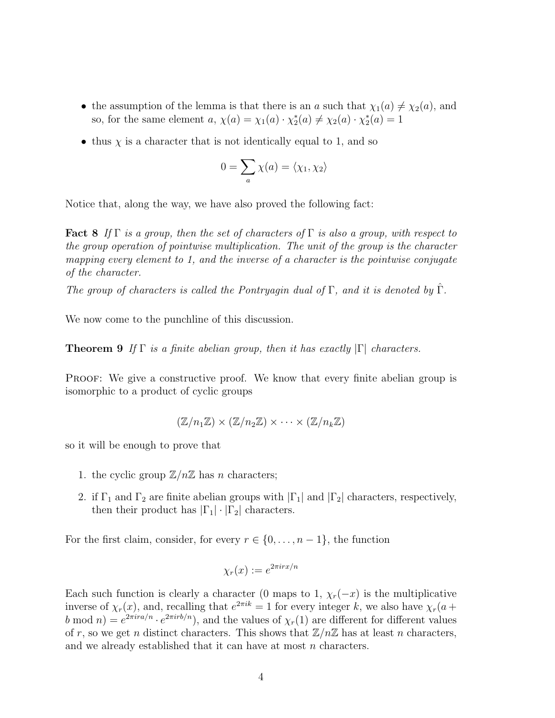- the assumption of the lemma is that there is an a such that  $\chi_1(a) \neq \chi_2(a)$ , and so, for the same element  $a, \chi(a) = \chi_1(a) \cdot \chi_2^*(a) \neq \chi_2(a) \cdot \chi_2^*(a) = 1$
- thus  $\chi$  is a character that is not identically equal to 1, and so

$$
0 = \sum_{a} \chi(a) = \langle \chi_1, \chi_2 \rangle
$$

Notice that, along the way, we have also proved the following fact:

**Fact 8** If  $\Gamma$  is a group, then the set of characters of  $\Gamma$  is also a group, with respect to the group operation of pointwise multiplication. The unit of the group is the character mapping every element to 1, and the inverse of a character is the pointwise conjugate of the character.

The group of characters is called the Pontryagin dual of  $\Gamma$ , and it is denoted by  $\widehat{\Gamma}$ .

<span id="page-3-0"></span>We now come to the punchline of this discussion.

**Theorem 9** If  $\Gamma$  is a finite abelian group, then it has exactly  $|\Gamma|$  characters.

PROOF: We give a constructive proof. We know that every finite abelian group is isomorphic to a product of cyclic groups

$$
(\mathbb{Z}/n_1\mathbb{Z}) \times (\mathbb{Z}/n_2\mathbb{Z}) \times \cdots \times (\mathbb{Z}/n_k\mathbb{Z})
$$

so it will be enough to prove that

- 1. the cyclic group  $\mathbb{Z}/n\mathbb{Z}$  has *n* characters;
- 2. if  $\Gamma_1$  and  $\Gamma_2$  are finite abelian groups with  $|\Gamma_1|$  and  $|\Gamma_2|$  characters, respectively, then their product has  $|\Gamma_1| \cdot |\Gamma_2|$  characters.

For the first claim, consider, for every  $r \in \{0, \ldots, n-1\}$ , the function

$$
\chi_r(x) := e^{2\pi i r x/n}
$$

Each such function is clearly a character (0 maps to 1,  $\chi_r(-x)$  is the multiplicative inverse of  $\chi_r(x)$ , and, recalling that  $e^{2\pi ik} = 1$  for every integer k, we also have  $\chi_r(a +$ b mod  $n$ ) =  $e^{2\pi ira/n} \cdot e^{2\pi irb/n}$ , and the values of  $\chi_r(1)$  are different for different values of r, so we get n distinct characters. This shows that  $\mathbb{Z}/n\mathbb{Z}$  has at least n characters, and we already established that it can have at most  $n$  characters.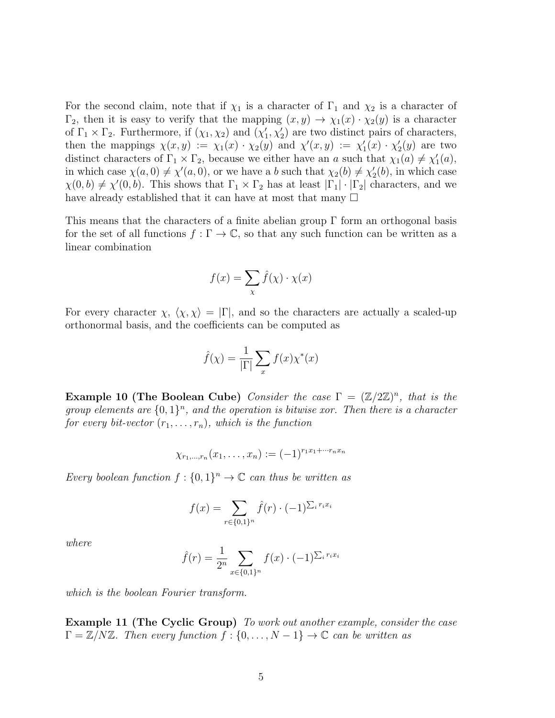For the second claim, note that if  $\chi_1$  is a character of  $\Gamma_1$  and  $\chi_2$  is a character of  $\Gamma_2$ , then it is easy to verify that the mapping  $(x, y) \to \chi_1(x) \cdot \chi_2(y)$  is a character of  $\Gamma_1 \times \Gamma_2$ . Furthermore, if  $(\chi_1, \chi_2)$  and  $(\chi'_1, \chi'_2)$  are two distinct pairs of characters, then the mappings  $\chi(x,y) := \chi_1(x) \cdot \chi_2(y)$  and  $\chi'(x,y) := \chi'_1(x) \cdot \chi'_2(y)$  are two distinct characters of  $\Gamma_1 \times \Gamma_2$ , because we either have an a such that  $\chi_1(a) \neq \chi'_1(a)$ , in which case  $\chi(a,0) \neq \chi'(a,0)$ , or we have a b such that  $\chi_2(b) \neq \chi'_2(b)$ , in which case  $\chi(0,b) \neq \chi'(0,b)$ . This shows that  $\Gamma_1 \times \Gamma_2$  has at least  $|\Gamma_1| \cdot |\Gamma_2|$  characters, and we have already established that it can have at most that many  $\Box$ 

This means that the characters of a finite abelian group  $\Gamma$  form an orthogonal basis for the set of all functions  $f : \Gamma \to \mathbb{C}$ , so that any such function can be written as a linear combination

$$
f(x) = \sum_{\chi} \hat{f}(\chi) \cdot \chi(x)
$$

For every character  $\chi$ ,  $\langle \chi, \chi \rangle = |\Gamma|$ , and so the characters are actually a scaled-up orthonormal basis, and the coefficients can be computed as

$$
\hat{f}(\chi) = \frac{1}{|\Gamma|} \sum_{x} f(x) \chi^*(x)
$$

**Example 10 (The Boolean Cube)** Consider the case  $\Gamma = (\mathbb{Z}/2\mathbb{Z})^n$ , that is the group elements are  $\{0,1\}^n$ , and the operation is bitwise xor. Then there is a character for every bit-vector  $(r_1, \ldots, r_n)$ , which is the function

$$
\chi_{r_1,\dots,r_n}(x_1,\dots,x_n) := (-1)^{r_1x_1 + \dots + r_nx_n}
$$

Every boolean function  $f: \{0,1\}^n \to \mathbb{C}$  can thus be written as

$$
f(x) = \sum_{r \in \{0,1\}^n} \hat{f}(r) \cdot (-1)^{\sum_i r_i x_i}
$$

where

$$
\hat{f}(r) = \frac{1}{2^n} \sum_{x \in \{0,1\}^n} f(x) \cdot (-1)^{\sum_i r_i x_i}
$$

which is the boolean Fourier transform.

Example 11 (The Cyclic Group) To work out another example, consider the case  $\Gamma = \mathbb{Z}/N\mathbb{Z}$ . Then every function  $f : \{0, \ldots, N-1\} \to \mathbb{C}$  can be written as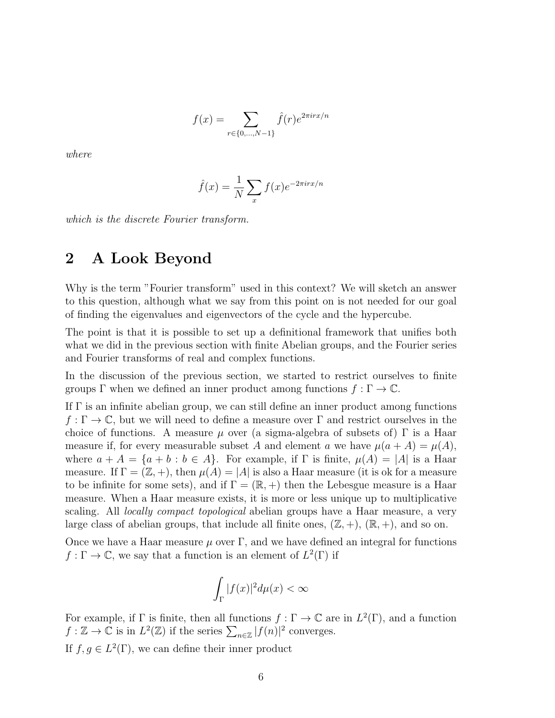$$
f(x) = \sum_{r \in \{0, ..., N-1\}} \hat{f}(r) e^{2\pi i r x/n}
$$

where

$$
\hat{f}(x) = \frac{1}{N} \sum_{x} f(x) e^{-2\pi i r x/n}
$$

which is the discrete Fourier transform.

# 2 A Look Beyond

Why is the term "Fourier transform" used in this context? We will sketch an answer to this question, although what we say from this point on is not needed for our goal of finding the eigenvalues and eigenvectors of the cycle and the hypercube.

The point is that it is possible to set up a definitional framework that unifies both what we did in the previous section with finite Abelian groups, and the Fourier series and Fourier transforms of real and complex functions.

In the discussion of the previous section, we started to restrict ourselves to finite groups  $\Gamma$  when we defined an inner product among functions  $f : \Gamma \to \mathbb{C}$ .

If  $\Gamma$  is an infinite abelian group, we can still define an inner product among functions  $f: \Gamma \to \mathbb{C}$ , but we will need to define a measure over  $\Gamma$  and restrict ourselves in the choice of functions. A measure  $\mu$  over (a sigma-algebra of subsets of)  $\Gamma$  is a Haar measure if, for every measurable subset A and element a we have  $\mu(a + A) = \mu(A)$ , where  $a + A = \{a + b : b \in A\}$ . For example, if  $\Gamma$  is finite,  $\mu(A) = |A|$  is a Haar measure. If  $\Gamma = (\mathbb{Z}, +)$ , then  $\mu(A) = |A|$  is also a Haar measure (it is ok for a measure to be infinite for some sets), and if  $\Gamma = (\mathbb{R}, +)$  then the Lebesgue measure is a Haar measure. When a Haar measure exists, it is more or less unique up to multiplicative scaling. All *locally compact topological* abelian groups have a Haar measure, a very large class of abelian groups, that include all finite ones,  $(\mathbb{Z}, +)$ ,  $(\mathbb{R}, +)$ , and so on.

Once we have a Haar measure  $\mu$  over  $\Gamma$ , and we have defined an integral for functions  $f: \Gamma \to \mathbb{C}$ , we say that a function is an element of  $L^2(\Gamma)$  if

$$
\int_{\Gamma} |f(x)|^2 d\mu(x) < \infty
$$

For example, if  $\Gamma$  is finite, then all functions  $f : \Gamma \to \mathbb{C}$  are in  $L^2(\Gamma)$ , and a function  $f : \mathbb{Z} \to \mathbb{C}$  is in  $L^2(\mathbb{Z})$  if the series  $\sum_{n \in \mathbb{Z}} |f(n)|^2$  converges.

If  $f, g \in L^2(\Gamma)$ , we can define their inner product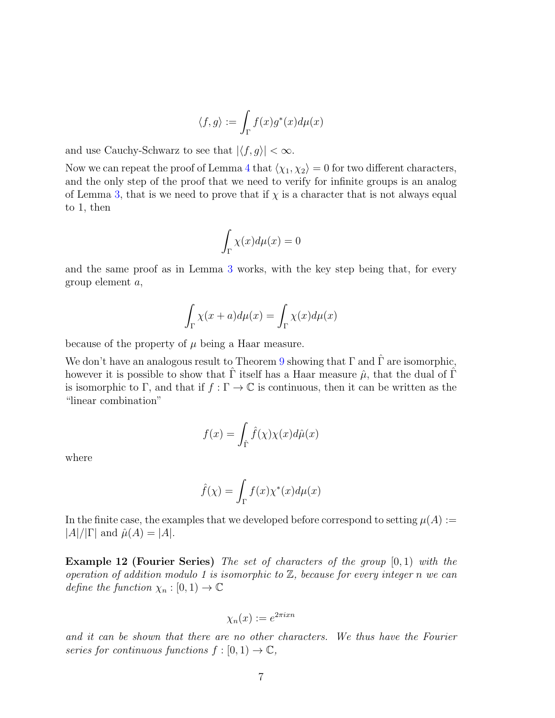$$
\langle f, g \rangle := \int_{\Gamma} f(x) g^*(x) d\mu(x)
$$

and use Cauchy-Schwarz to see that  $|\langle f, g \rangle| < \infty$ .

Now we can repeat the proof of Lemma [4](#page-2-0) that  $\langle \chi_1, \chi_2 \rangle = 0$  for two different characters, and the only step of the proof that we need to verify for infinite groups is an analog of Lemma [3,](#page-1-0) that is we need to prove that if  $\chi$  is a character that is not always equal to 1, then

$$
\int_{\Gamma} \chi(x) d\mu(x) = 0
$$

and the same proof as in Lemma [3](#page-1-0) works, with the key step being that, for every group element a,

$$
\int_{\Gamma} \chi(x+a) d\mu(x) = \int_{\Gamma} \chi(x) d\mu(x)
$$

because of the property of  $\mu$  being a Haar measure.

We don't have an analogous result to Theorem [9](#page-3-0) showing that  $\Gamma$  and  $\hat{\Gamma}$  are isomorphic, however it is possible to show that  $\hat{\Gamma}$  itself has a Haar measure  $\hat{\mu}$ , that the dual of  $\hat{\Gamma}$ is isomorphic to Γ, and that if  $f : \Gamma \to \mathbb{C}$  is continuous, then it can be written as the "linear combination"

$$
f(x) = \int_{\hat{\Gamma}} \hat{f}(\chi) \chi(x) d\hat{\mu}(x)
$$

where

$$
\hat{f}(\chi) = \int_{\Gamma} f(x) \chi^*(x) d\mu(x)
$$

In the finite case, the examples that we developed before correspond to setting  $\mu(A) :=$  $|A|/|\Gamma|$  and  $\hat{\mu}(A) = |A|$ .

**Example 12 (Fourier Series)** The set of characters of the group  $[0,1)$  with the operation of addition modulo 1 is isomorphic to  $\mathbb{Z}$ , because for every integer n we can define the function  $\chi_n : [0,1) \to \mathbb{C}$ 

$$
\chi_n(x) := e^{2\pi i x n}
$$

and it can be shown that there are no other characters. We thus have the Fourier series for continuous functions  $f : [0,1) \to \mathbb{C}$ ,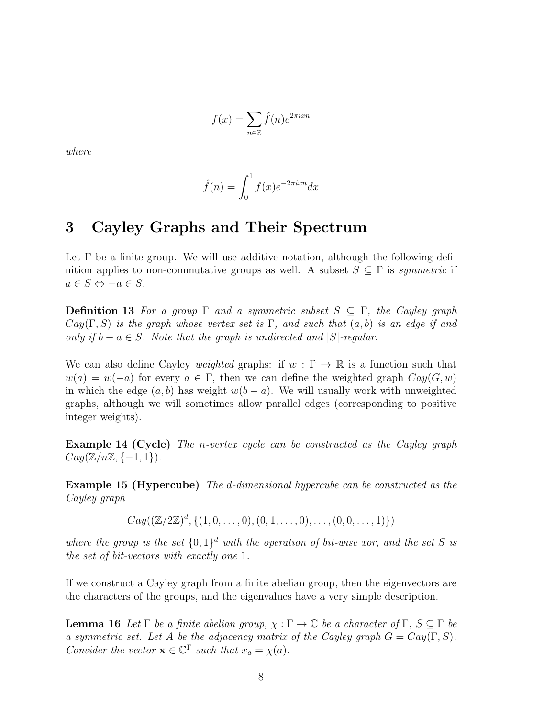$$
f(x) = \sum_{n \in \mathbb{Z}} \hat{f}(n) e^{2\pi i x n}
$$

where

$$
\hat{f}(n) = \int_0^1 f(x)e^{-2\pi i x n} dx
$$

## 3 Cayley Graphs and Their Spectrum

Let  $\Gamma$  be a finite group. We will use additive notation, although the following definition applies to non-commutative groups as well. A subset  $S \subseteq \Gamma$  is *symmetric* if  $a \in S \Leftrightarrow -a \in S$ .

**Definition 13** For a group  $\Gamma$  and a symmetric subset  $S \subseteq \Gamma$ , the Cayley graph  $Cay(\Gamma, S)$  is the graph whose vertex set is  $\Gamma$ , and such that  $(a, b)$  is an edge if and only if  $b - a \in S$ . Note that the graph is undirected and |S|-regular.

We can also define Cayley *weighted* graphs: if  $w : \Gamma \to \mathbb{R}$  is a function such that  $w(a) = w(-a)$  for every  $a \in \Gamma$ , then we can define the weighted graph  $Cay(G, w)$ in which the edge  $(a, b)$  has weight  $w(b - a)$ . We will usually work with unweighted graphs, although we will sometimes allow parallel edges (corresponding to positive integer weights).

Example 14 (Cycle) The n-vertex cycle can be constructed as the Cayley graph  $Cay(\mathbb{Z}/n\mathbb{Z}, \{-1,1\}).$ 

Example 15 (Hypercube) The d-dimensional hypercube can be constructed as the Cayley graph

 $Cay((\mathbb{Z}/2\mathbb{Z})^d, \{(1,0,\ldots,0), (0,1,\ldots,0), \ldots, (0,0,\ldots,1)\})$ 

where the group is the set  $\{0,1\}^d$  with the operation of bit-wise xor, and the set S is the set of bit-vectors with exactly one 1.

If we construct a Cayley graph from a finite abelian group, then the eigenvectors are the characters of the groups, and the eigenvalues have a very simple description.

**Lemma 16** Let  $\Gamma$  be a finite abelian group,  $\chi : \Gamma \to \mathbb{C}$  be a character of  $\Gamma, S \subseteq \Gamma$  be a symmetric set. Let A be the adjacency matrix of the Cayley graph  $G = Cay(\Gamma, S)$ . Consider the vector  $\mathbf{x} \in \mathbb{C}^{\Gamma}$  such that  $x_a = \chi(a)$ .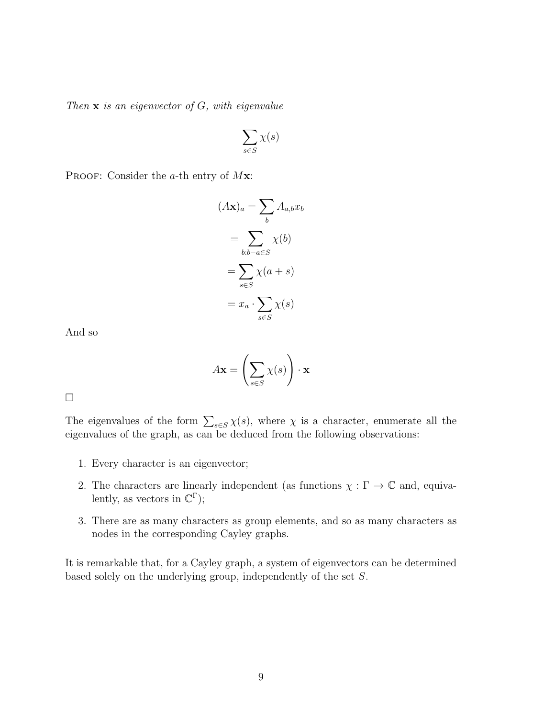Then  $x$  is an eigenvector of  $G$ , with eigenvalue

$$
\sum_{s \in S} \chi(s)
$$

PROOF: Consider the  $a$ -th entry of  $Mx$ :

$$
(A\mathbf{x})_a = \sum_b A_{a,b} x_b
$$

$$
= \sum_{b:b-a\in S} \chi(b)
$$

$$
= \sum_{s\in S} \chi(a+s)
$$

$$
= x_a \cdot \sum_{s\in S} \chi(s)
$$

And so

$$
A\mathbf{x} = \left(\sum_{s \in S} \chi(s)\right) \cdot \mathbf{x}
$$

 $\Box$ 

The eigenvalues of the form  $\sum_{s \in S} \chi(s)$ , where  $\chi$  is a character, enumerate all the eigenvalues of the graph, as can be deduced from the following observations:

- 1. Every character is an eigenvector;
- 2. The characters are linearly independent (as functions  $\chi : \Gamma \to \mathbb{C}$  and, equivalently, as vectors in  $\mathbb{C}^{\Gamma}$ );
- 3. There are as many characters as group elements, and so as many characters as nodes in the corresponding Cayley graphs.

It is remarkable that, for a Cayley graph, a system of eigenvectors can be determined based solely on the underlying group, independently of the set S.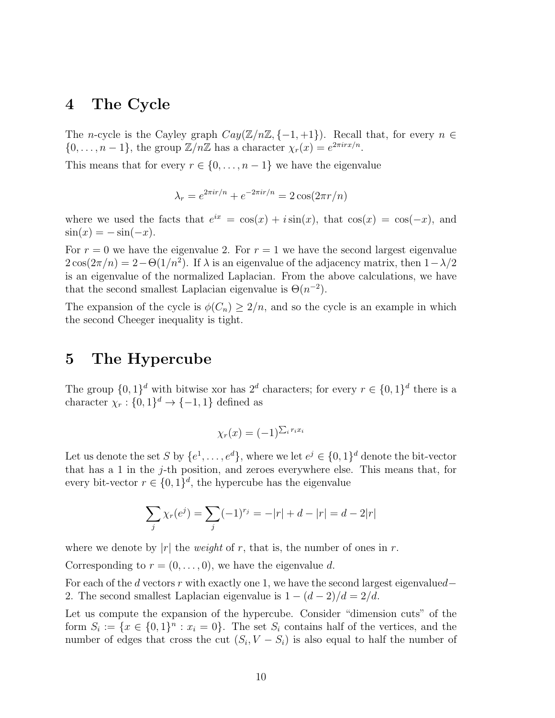#### 4 The Cycle

The n-cycle is the Cayley graph  $Cay(\mathbb{Z}/n\mathbb{Z}, \{-1, +1\})$ . Recall that, for every  $n \in \mathbb{Z}$  $\{0,\ldots,n-1\}$ , the group  $\mathbb{Z}/n\mathbb{Z}$  has a character  $\chi_r(x) = e^{2\pi i r x/n}$ .

This means that for every  $r \in \{0, \ldots, n-1\}$  we have the eigenvalue

$$
\lambda_r = e^{2\pi i r/n} + e^{-2\pi i r/n} = 2\cos(2\pi r/n)
$$

where we used the facts that  $e^{ix} = \cos(x) + i \sin(x)$ , that  $\cos(x) = \cos(-x)$ , and  $\sin(x) = -\sin(-x)$ .

For  $r = 0$  we have the eigenvalue 2. For  $r = 1$  we have the second largest eigenvalue  $2\cos(2\pi/n) = 2 - \Theta(1/n^2)$ . If  $\lambda$  is an eigenvalue of the adjacency matrix, then  $1 - \lambda/2$ is an eigenvalue of the normalized Laplacian. From the above calculations, we have that the second smallest Laplacian eigenvalue is  $\Theta(n^{-2})$ .

The expansion of the cycle is  $\phi(C_n) \geq 2/n$ , and so the cycle is an example in which the second Cheeger inequality is tight.

## 5 The Hypercube

The group  $\{0,1\}^d$  with bitwise xor has  $2^d$  characters; for every  $r \in \{0,1\}^d$  there is a character  $\chi_r: \{0,1\}^d \to \{-1,1\}$  defined as

$$
\chi_r(x) = (-1)^{\sum_i r_i x_i}
$$

Let us denote the set S by  $\{e^1, \ldots, e^d\}$ , where we let  $e^j \in \{0,1\}^d$  denote the bit-vector that has a 1 in the j-th position, and zeroes everywhere else. This means that, for every bit-vector  $r \in \{0,1\}^d$ , the hypercube has the eigenvalue

$$
\sum_{j} \chi_r(e^j) = \sum_{j} (-1)^{r_j} = -|r| + d - |r| = d - 2|r|
$$

where we denote by |r| the *weight* of r, that is, the number of ones in r.

Corresponding to  $r = (0, \ldots, 0)$ , we have the eigenvalue d.

For each of the d vectors r with exactly one 1, we have the second largest eigenvalued– 2. The second smallest Laplacian eigenvalue is  $1 - (d - 2)/d = 2/d$ .

Let us compute the expansion of the hypercube. Consider "dimension cuts" of the form  $S_i := \{x \in \{0,1\}^n : x_i = 0\}$ . The set  $S_i$  contains half of the vertices, and the number of edges that cross the cut  $(S_i, V - S_i)$  is also equal to half the number of